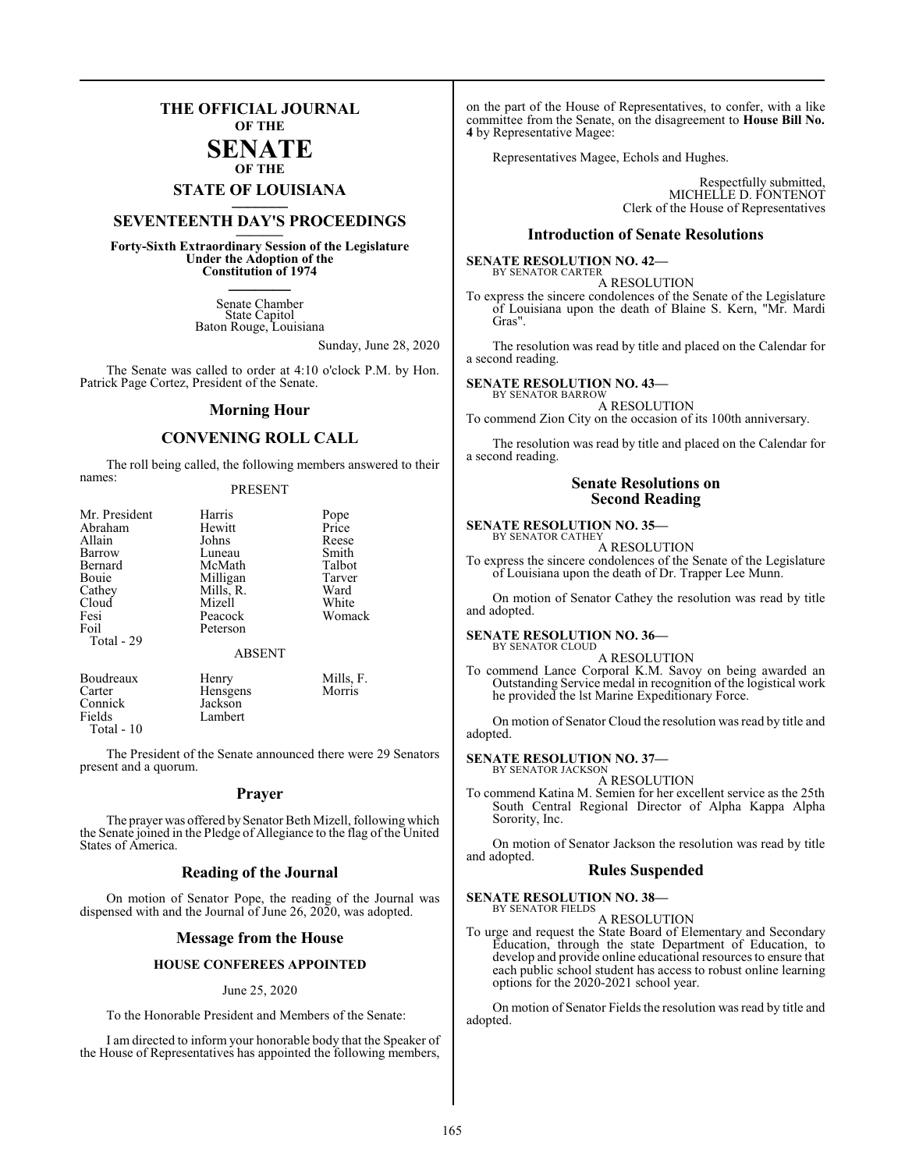### **THE OFFICIAL JOURNAL OF THE**

### **SENATE OF THE**

# **STATE OF LOUISIANA \_\_\_\_\_\_\_**

### **SEVENTEENTH DAY'S PROCEEDINGS \_\_\_\_\_\_\_**

**Forty-Sixth Extraordinary Session of the Legislature Under the Adoption of the Constitution of 1974 \_\_\_\_\_\_\_**

> Senate Chamber State Capitol Baton Rouge, Louisiana

> > Sunday, June 28, 2020

The Senate was called to order at 4:10 o'clock P.M. by Hon. Patrick Page Cortez, President of the Senate.

### **Morning Hour**

### **CONVENING ROLL CALL**

The roll being called, the following members answered to their names:

### PRESENT

| Mr. President | Harris        | Pope      |
|---------------|---------------|-----------|
| Abraham       | Hewitt        | Price     |
| Allain        | Johns         | Reese     |
| Barrow        | Luneau        | Smith     |
| Bernard       | McMath        | Talbot    |
| Bouie         | Milligan      | Tarver    |
| Cathey        | Mills, R.     | Ward      |
| Cloud         | Mizell        | White     |
| Fesi          | Peacock       | Womack    |
| Foil          | Peterson      |           |
| Total - 29    |               |           |
|               | <b>ABSENT</b> |           |
| Boudreaux     | Henry         | Mills, F. |
| Carter        | Hensgens      | Morris    |
| Connick       | Jackson       |           |

Lambert

Connick<br>Fields

Total - 10

The President of the Senate announced there were 29 Senators present and a quorum.

### **Prayer**

The prayer was offered by Senator Beth Mizell, following which the Senate joined in the Pledge of Allegiance to the flag of the United States of America.

### **Reading of the Journal**

On motion of Senator Pope, the reading of the Journal was dispensed with and the Journal of June 26, 2020, was adopted.

### **Message from the House**

### **HOUSE CONFEREES APPOINTED**

### June 25, 2020

To the Honorable President and Members of the Senate:

I am directed to inform your honorable body that the Speaker of the House of Representatives has appointed the following members,

on the part of the House of Representatives, to confer, with a like committee from the Senate, on the disagreement to **House Bill No. 4** by Representative Magee:

Representatives Magee, Echols and Hughes.

Respectfully submitted, MICHELLE D. FONTENOT Clerk of the House of Representatives

### **Introduction of Senate Resolutions**

#### **SENATE RESOLUTION NO. 42—** BY SENATOR CARTER

A RESOLUTION

To express the sincere condolences of the Senate of the Legislature of Louisiana upon the death of Blaine S. Kern, "Mr. Mardi Gras".

The resolution was read by title and placed on the Calendar for a second reading.

### **SENATE RESOLUTION NO. 43—**

BY SENATOR BARROW A RESOLUTION

To commend Zion City on the occasion of its 100th anniversary.

The resolution was read by title and placed on the Calendar for a second reading.

### **Senate Resolutions on Second Reading**

### **SENATE RESOLUTION NO. 35—**

BY SENATOR CATHEY A RESOLUTION

To express the sincere condolences of the Senate of the Legislature of Louisiana upon the death of Dr. Trapper Lee Munn.

On motion of Senator Cathey the resolution was read by title and adopted.

### **SENATE RESOLUTION NO. 36—**

BY SENATOR CLOUD A RESOLUTION

To commend Lance Corporal K.M. Savoy on being awarded an Outstanding Service medal in recognition of the logistical work he provided the lst Marine Expeditionary Force.

On motion of Senator Cloud the resolution was read by title and adopted.

#### **SENATE RESOLUTION NO. 37—** BY SENATOR JACKSON

A RESOLUTION

To commend Katina M. Semien for her excellent service as the 25th South Central Regional Director of Alpha Kappa Alpha Sorority, Inc.

On motion of Senator Jackson the resolution was read by title and adopted.

### **Rules Suspended**

**SENATE RESOLUTION NO. 38—** BY SENATOR FIELDS

A RESOLUTION

To urge and request the State Board of Elementary and Secondary Education, through the state Department of Education, to develop and provide online educational resources to ensure that each public school student has access to robust online learning options for the 2020-2021 school year.

On motion of Senator Fields the resolution was read by title and adopted.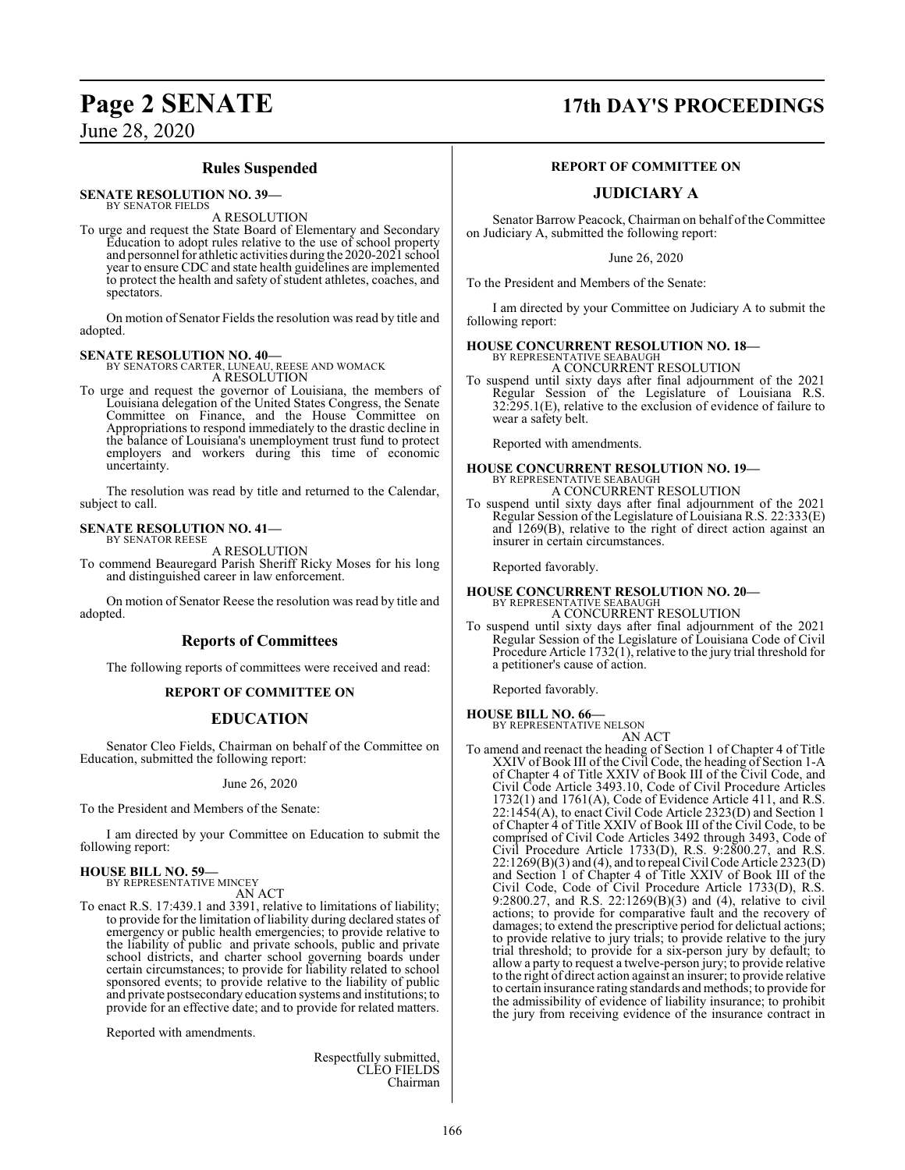### **Rules Suspended**

**SENATE RESOLUTION NO. 39—**

BY SENATOR FIELDS A RESOLUTION

To urge and request the State Board of Elementary and Secondary Education to adopt rules relative to the use of school property and personnel for athletic activities during the 2020-2021 school year to ensure CDC and state health guidelines are implemented to protect the health and safety of student athletes, coaches, and spectators.

On motion of Senator Fields the resolution was read by title and adopted.

**SENATE RESOLUTION NO. 40—** BY SENATORS CARTER, LUNEAU, REESE AND WOMACK A RESOLUTION

To urge and request the governor of Louisiana, the members of Louisiana delegation of the United States Congress, the Senate Committee on Finance, and the House Committee on Appropriations to respond immediately to the drastic decline in the balance of Louisiana's unemployment trust fund to protect employers and workers during this time of economic uncertainty.

The resolution was read by title and returned to the Calendar, subject to call.

#### **SENATE RESOLUTION NO. 41—** BY SENATOR REESE

A RESOLUTION

To commend Beauregard Parish Sheriff Ricky Moses for his long and distinguished career in law enforcement.

On motion of Senator Reese the resolution was read by title and adopted.

### **Reports of Committees**

The following reports of committees were received and read:

### **REPORT OF COMMITTEE ON**

### **EDUCATION**

Senator Cleo Fields, Chairman on behalf of the Committee on Education, submitted the following report:

June 26, 2020

To the President and Members of the Senate:

I am directed by your Committee on Education to submit the following report:

#### **HOUSE BILL NO. 59—** BY REPRESENTATIVE MINCEY

AN ACT

To enact R.S. 17:439.1 and 3391, relative to limitations of liability; to provide for the limitation of liability during declared states of emergency or public health emergencies; to provide relative to the liability of public and private schools, public and private school districts, and charter school governing boards under certain circumstances; to provide for liability related to school sponsored events; to provide relative to the liability of public and private postsecondary education systems and institutions; to provide for an effective date; and to provide for related matters.

Reported with amendments.

Respectfully submitted, CLEO FIELDS Chairman

### **Page 2 SENATE 17th DAY'S PROCEEDINGS**

### **REPORT OF COMMITTEE ON**

### **JUDICIARY A**

Senator Barrow Peacock, Chairman on behalf of the Committee on Judiciary A, submitted the following report:

June 26, 2020

To the President and Members of the Senate:

I am directed by your Committee on Judiciary A to submit the following report:

## **HOUSE CONCURRENT RESOLUTION NO. 18—** BY REPRESENTATIVE SEABAUGH

A CONCURRENT RESOLUTION

To suspend until sixty days after final adjournment of the 2021 Regular Session of the Legislature of Louisiana R.S. 32:295.1(E), relative to the exclusion of evidence of failure to wear a safety belt.

Reported with amendments.

### **HOUSE CONCURRENT RESOLUTION NO. 19—** BY REPRESENTATIVE SEABAUGH A CONCURRENT RESOLUTION

To suspend until sixty days after final adjournment of the 2021 Regular Session of the Legislature of Louisiana R.S. 22:333(E) and 1269(B), relative to the right of direct action against an insurer in certain circumstances.

Reported favorably.

### **HOUSE CONCURRENT RESOLUTION NO. 20—** BY REPRESENTATIVE SEABAUGH A CONCURRENT RESOLUTION

To suspend until sixty days after final adjournment of the 2021 Regular Session of the Legislature of Louisiana Code of Civil Procedure Article 1732(1), relative to the jury trial threshold for a petitioner's cause of action.

Reported favorably.

**HOUSE BILL NO. 66—** BY REPRESENTATIVE NELSON

AN ACT

To amend and reenact the heading of Section 1 of Chapter 4 of Title XXIV of Book III of the Civil Code, the heading of Section 1-A of Chapter 4 of Title XXIV of Book III of the Civil Code, and Civil Code Article 3493.10, Code of Civil Procedure Articles 1732(1) and 1761(A), Code of Evidence Article 411, and R.S. 22:1454(A), to enact Civil Code Article 2323(D) and Section 1 of Chapter 4 of Title XXIV of Book III of the Civil Code, to be comprised of Civil Code Articles 3492 through 3493, Code of Civil Procedure Article 1733(D), R.S. 9:2800.27, and R.S. 22:1269(B)(3) and (4), and to repeal Civil Code Article 2323(D) and Section 1 of Chapter 4 of Title XXIV of Book III of the Civil Code, Code of Civil Procedure Article 1733(D), R.S. 9:2800.27, and R.S. 22:1269(B)(3) and (4), relative to civil actions; to provide for comparative fault and the recovery of damages; to extend the prescriptive period for delictual actions; to provide relative to jury trials; to provide relative to the jury trial threshold; to provide for a six-person jury by default; to allow a party to request a twelve-person jury; to provide relative to the right of direct action against an insurer; to provide relative to certain insurance rating standards and methods; to provide for the admissibility of evidence of liability insurance; to prohibit the jury from receiving evidence of the insurance contract in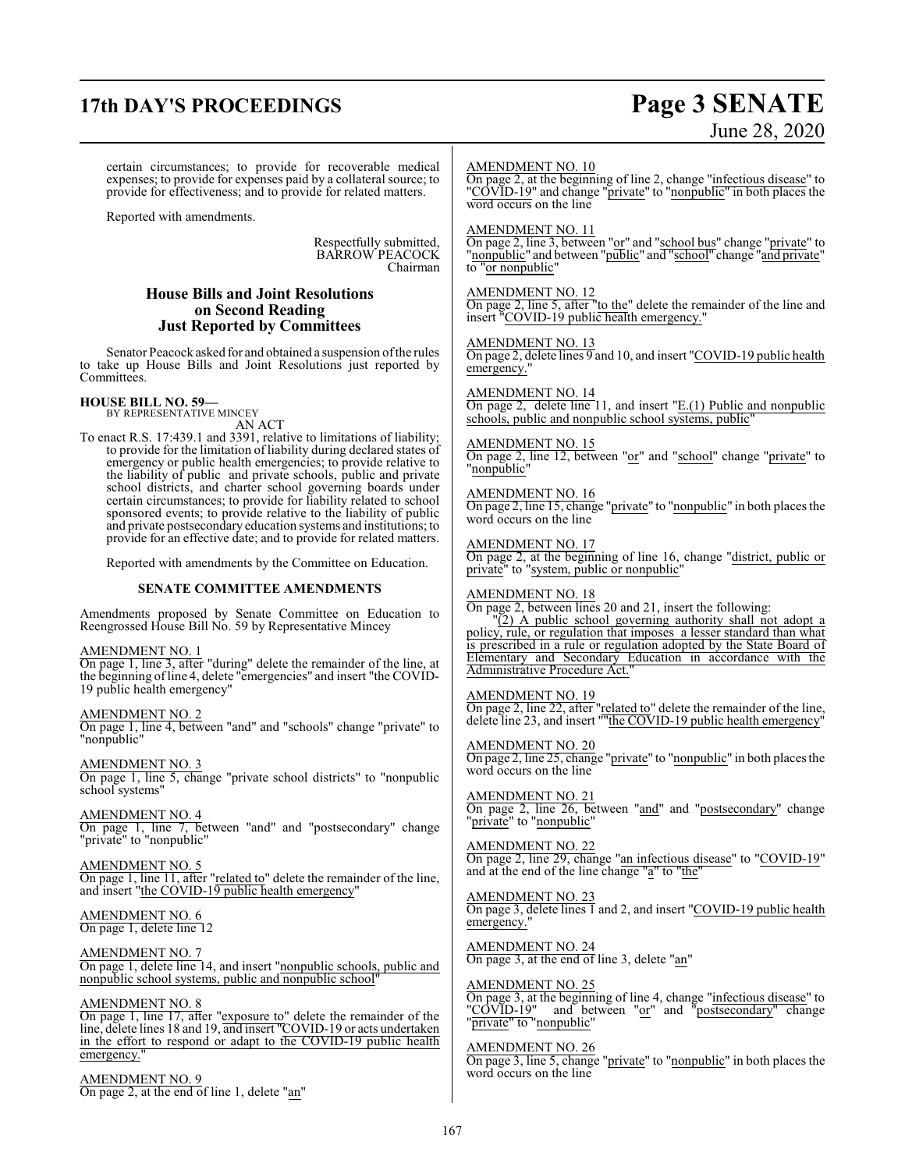### **17th DAY'S PROCEEDINGS Page 3 SENATE**

# June 28, 2020

certain circumstances; to provide for recoverable medical expenses; to provide for expenses paid by a collateral source; to provide for effectiveness; and to provide for related matters.

Reported with amendments.

Respectfully submitted, BARROW PEACOCK Chairman

### **House Bills and Joint Resolutions on Second Reading Just Reported by Committees**

Senator Peacock asked for and obtained a suspension of the rules to take up House Bills and Joint Resolutions just reported by Committees.

#### **HOUSE BILL NO. 59—** BY REPRESENTATIVE MINCEY

AN ACT

To enact R.S. 17:439.1 and 3391, relative to limitations of liability; to provide for the limitation of liability during declared states of emergency or public health emergencies; to provide relative to the liability of public and private schools, public and private school districts, and charter school governing boards under certain circumstances; to provide for liability related to school sponsored events; to provide relative to the liability of public and private postsecondary education systems and institutions; to provide for an effective date; and to provide for related matters.

Reported with amendments by the Committee on Education.

### **SENATE COMMITTEE AMENDMENTS**

Amendments proposed by Senate Committee on Education to Reengrossed House Bill No. 59 by Representative Mincey

AMENDMENT NO. 1 On page 1, line 3, after "during" delete the remainder of the line, at the beginning ofline 4, delete "emergencies" and insert "the COVID-19 public health emergency"

AMENDMENT NO. 2 On page 1, line 4, between "and" and "schools" change "private" to "nonpublic"

AMENDMENT NO. 3 On page 1, line 5, change "private school districts" to "nonpublic school systems"

AMENDMENT NO. 4 On page 1, line 7, between "and" and "postsecondary" change "private" to "nonpublic"

AMENDMENT NO. 5 On page 1, line 11, after "related to" delete the remainder of the line, and insert "the COVID-19 public health emergency"

AMENDMENT NO. 6 On page 1, delete line 12

AMENDMENT NO. 7 On page 1, delete line 14, and insert "nonpublic schools, public and nonpublic school systems, public and nonpublic school"

AMENDMENT NO. 8 On page 1, line 17, after "exposure to" delete the remainder of the line, delete lines 18 and 19, and insert "COVID-19 or acts undertaken in the effort to respond or adapt to the COVID-19 public health emergency."

AMENDMENT NO. 9 On page 2, at the end of line 1, delete "an"

### AMENDMENT NO. 10

On page 2, at the beginning of line 2, change "infectious disease" to "COVID-19" and change "private" to "nonpublic" in both places the word occurs on the line

### AMENDMENT NO. 11

On page 2, line 3, between "or" and "school bus" change "private" to "nonpublic" and between "public" and "school" change "and private" to "or nonpublic"

### AMENDMENT NO. 12

On page 2, line 5, after "to the" delete the remainder of the line and insert "COVID-19 public health emergency."

### AMENDMENT NO. 13

On page 2, delete lines 9 and 10, and insert "COVID-19 public health emergency.

### AMENDMENT NO. 14

On page 2, delete line 11, and insert "E.(1) Public and nonpublic schools, public and nonpublic school systems, public

### AMENDMENT NO. 15

On page 2, line 12, between "or" and "school" change "private" to "nonpublic"

### AMENDMENT NO. 16

On page 2, line 15, change "private" to "nonpublic" in both places the word occurs on the line

### AMENDMENT NO. 17

On page 2, at the beginning of line 16, change "district, public or private" to "system, public or nonpublic"

### AMENDMENT NO. 18

On page 2, between lines 20 and 21, insert the following:

"(2) A public school governing authority shall not adopt a policy, rule, or regulation that imposes a lesser standard than what is prescribed in a rule or regulation adopted by the State Board of Elementary and Secondary Education in accordance with the Administrative Procedure Act."

### AMENDMENT NO. 19

On page 2, line 22, after "related to" delete the remainder of the line, delete line 23, and insert ""the COVID-19 public health emergency"

AMENDMENT NO. 20 On page 2, line 25, change "private" to "nonpublic" in both places the word occurs on the line

AMENDMENT NO. 21 On page 2, line 26, between "and" and "postsecondary" change "*private*" to "*nonpublic*"

AMENDMENT NO. 22 On page 2, line 29, change "an infectious disease" to "COVID-19" and at the end of the line change "a" to "the"

AMENDMENT NO. 23 On page 3, delete lines I and 2, and insert "COVID-19 public health emergency.

AMENDMENT NO. 24 On page 3, at the end of line 3, delete "an"

### AMENDMENT NO. 25

On page 3, at the beginning of line 4, change "infectious disease" to "COVID-19" and between "or" and "postsecondary" change "private" to "nonpublic"

### AMENDMENT NO. 26

On page 3, line 5, change "private" to "nonpublic" in both places the word occurs on the line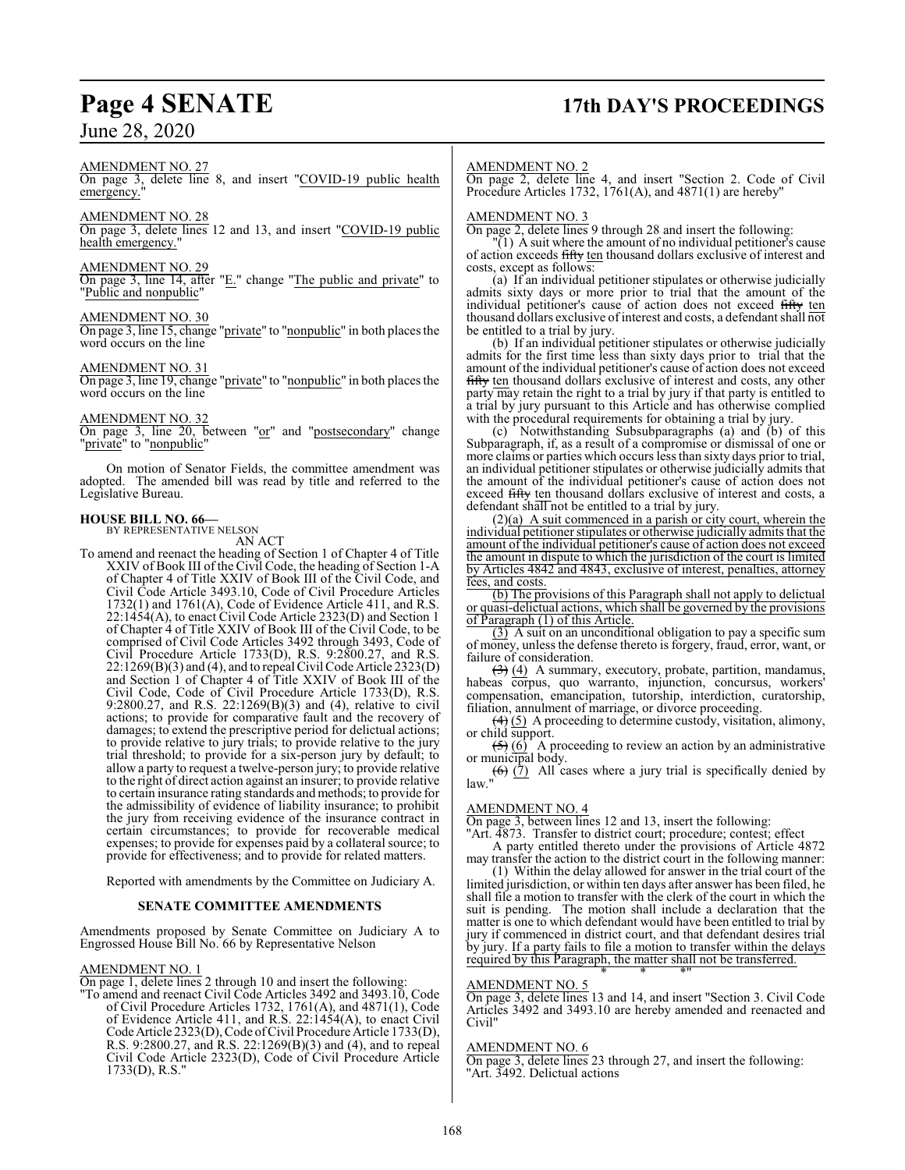## **Page 4 SENATE 17th DAY'S PROCEEDINGS**

### June 28, 2020

### AMENDMENT NO. 27

On page 3, delete line 8, and insert "COVID-19 public health emergency.

### AMENDMENT NO. 28

On page 3, delete lines 12 and 13, and insert "COVID-19 public health emergency."

### AMENDMENT NO. 29

On page 3, line 14, after "E." change "The public and private" to "Public and nonpublic"

### AMENDMENT NO. 30

On page 3, line 15, change "private" to "nonpublic" in both places the word occurs on the line

### AMENDMENT NO. 31

On page 3, line 19, change "private" to "nonpublic" in both places the word occurs on the line

#### AMENDMENT NO. 32

On page 3, line 20, between "or" and "postsecondary" change "private" to "nonpublic"

On motion of Senator Fields, the committee amendment was adopted. The amended bill was read by title and referred to the Legislative Bureau.

### **HOUSE BILL NO. 66—**

BY REPRESENTATIVE NELSON AN ACT

To amend and reenact the heading of Section 1 of Chapter 4 of Title XXIV of Book III of the Civil Code, the heading of Section 1-A of Chapter 4 of Title XXIV of Book III of the Civil Code, and Civil Code Article 3493.10, Code of Civil Procedure Articles 1732(1) and 1761(A), Code of Evidence Article 411, and R.S. 22:1454(A), to enact Civil Code Article 2323(D) and Section 1 of Chapter 4 of Title XXIV of Book III of the Civil Code, to be comprised of Civil Code Articles 3492 through 3493, Code of Civil Procedure Article 1733(D), R.S. 9:2800.27, and R.S. 22:1269(B)(3) and (4), and to repeal Civil Code Article 2323(D) and Section 1 of Chapter 4 of Title XXIV of Book III of the Civil Code, Code of Civil Procedure Article 1733(D), R.S. 9:2800.27, and R.S. 22:1269(B)(3) and (4), relative to civil actions; to provide for comparative fault and the recovery of damages; to extend the prescriptive period for delictual actions; to provide relative to jury trials; to provide relative to the jury trial threshold; to provide for a six-person jury by default; to allow a party to request a twelve-person jury; to provide relative to the right of direct action against an insurer; to provide relative to certain insurance rating standards and methods; to provide for the admissibility of evidence of liability insurance; to prohibit the jury from receiving evidence of the insurance contract in certain circumstances; to provide for recoverable medical expenses; to provide for expenses paid by a collateral source; to provide for effectiveness; and to provide for related matters.

Reported with amendments by the Committee on Judiciary A.

### **SENATE COMMITTEE AMENDMENTS**

Amendments proposed by Senate Committee on Judiciary A to Engrossed House Bill No. 66 by Representative Nelson

### AMENDMENT NO. 1

On page 1, delete lines 2 through 10 and insert the following:

"To amend and reenact Civil Code Articles 3492 and 3493.10, Code of Civil Procedure Articles 1732, 1761(A), and 4871(1), Code of Evidence Article 411, and R.S. 22:1454(A), to enact Civil Code Article 2323(D), Code of Civil Procedure Árticle 1733(D), R.S. 9:2800.27, and R.S. 22:1269(B)(3) and (4), and to repeal Civil Code Article 2323(D), Code of Civil Procedure Article 1733(D), R.S."

### AMENDMENT NO. 2

On page 2, delete line 4, and insert "Section 2. Code of Civil Procedure Articles 1732, 1761(A), and 4871(1) are hereby"

### AMENDMENT NO. 3

On page 2, delete lines 9 through 28 and insert the following:

 $(1)$  A suit where the amount of no individual petitioner's cause of action exceeds fifty ten thousand dollars exclusive of interest and costs, except as follows:

(a) If an individual petitioner stipulates or otherwise judicially admits sixty days or more prior to trial that the amount of the individual petitioner's cause of action does not exceed fifty ten thousand dollars exclusive of interest and costs, a defendant shall not be entitled to a trial by jury.

(b) If an individual petitioner stipulates or otherwise judicially admits for the first time less than sixty days prior to trial that the amount of the individual petitioner's cause of action does not exceed fifty ten thousand dollars exclusive of interest and costs, any other party may retain the right to a trial by jury if that party is entitled to a trial by jury pursuant to this Article and has otherwise complied with the procedural requirements for obtaining a trial by jury.

(c) Notwithstanding Subsubparagraphs (a) and (b) of this Subparagraph, if, as a result of a compromise or dismissal of one or more claims or parties which occurs less than sixty days prior to trial, an individual petitioner stipulates or otherwise judicially admits that the amount of the individual petitioner's cause of action does not exceed fifty ten thousand dollars exclusive of interest and costs, a defendant shall not be entitled to a trial by jury.

(2)(a) A suit commenced in a parish or city court, wherein the individual petitioner stipulates or otherwise judicially admits that the amount of the individual petitioner's cause of action does not exceed the amount in dispute to which the jurisdiction of the court is limited by Articles 4842 and 4843, exclusive of interest, penalties, attorney fees, and costs.

(b) The provisions of this Paragraph shall not apply to delictual or quasi-delictual actions, which shall be governed by the provisions of Paragraph (1) of this Article.

 $\overline{(3)}$  A suit on an unconditional obligation to pay a specific sum of money, unless the defense thereto is forgery, fraud, error, want, or failure of consideration.

 $(3)$  (4) A summary, executory, probate, partition, mandamus, habeas corpus, quo warranto, injunction, concursus, workers' compensation, emancipation, tutorship, interdiction, curatorship, filiation, annulment of marriage, or divorce proceeding.

 $(4)(5)$  A proceeding to determine custody, visitation, alimony, or child support.

 $\left(\frac{5}{5}\right)$  (6) A proceeding to review an action by an administrative or municipal body. or municipal body.

 $(6)$   $(7)$  All cases where a jury trial is specifically denied by law."

### AMENDMENT NO. 4

On page 3, between lines 12 and 13, insert the following:

"Art. 4873. Transfer to district court; procedure; contest; effect A party entitled thereto under the provisions of Article 4872

may transfer the action to the district court in the following manner: (1) Within the delay allowed for answer in the trial court of the

limited jurisdiction, or within ten days after answer has been filed, he shall file a motion to transfer with the clerk of the court in which the suit is pending. The motion shall include a declaration that the matter is one to which defendant would have been entitled to trial by jury if commenced in district court, and that defendant desires trial by jury. If a party fails to file a motion to transfer within the delays required by this Paragraph, the matter shall not be transferred. \* \* \*"

### AMENDMENT NO. 5

On page 3, delete lines 13 and 14, and insert "Section 3. Civil Code Articles 3492 and 3493.10 are hereby amended and reenacted and Civil"

### AMENDMENT NO. 6

On page 3, delete lines 23 through 27, and insert the following: "Art. 3492. Delictual actions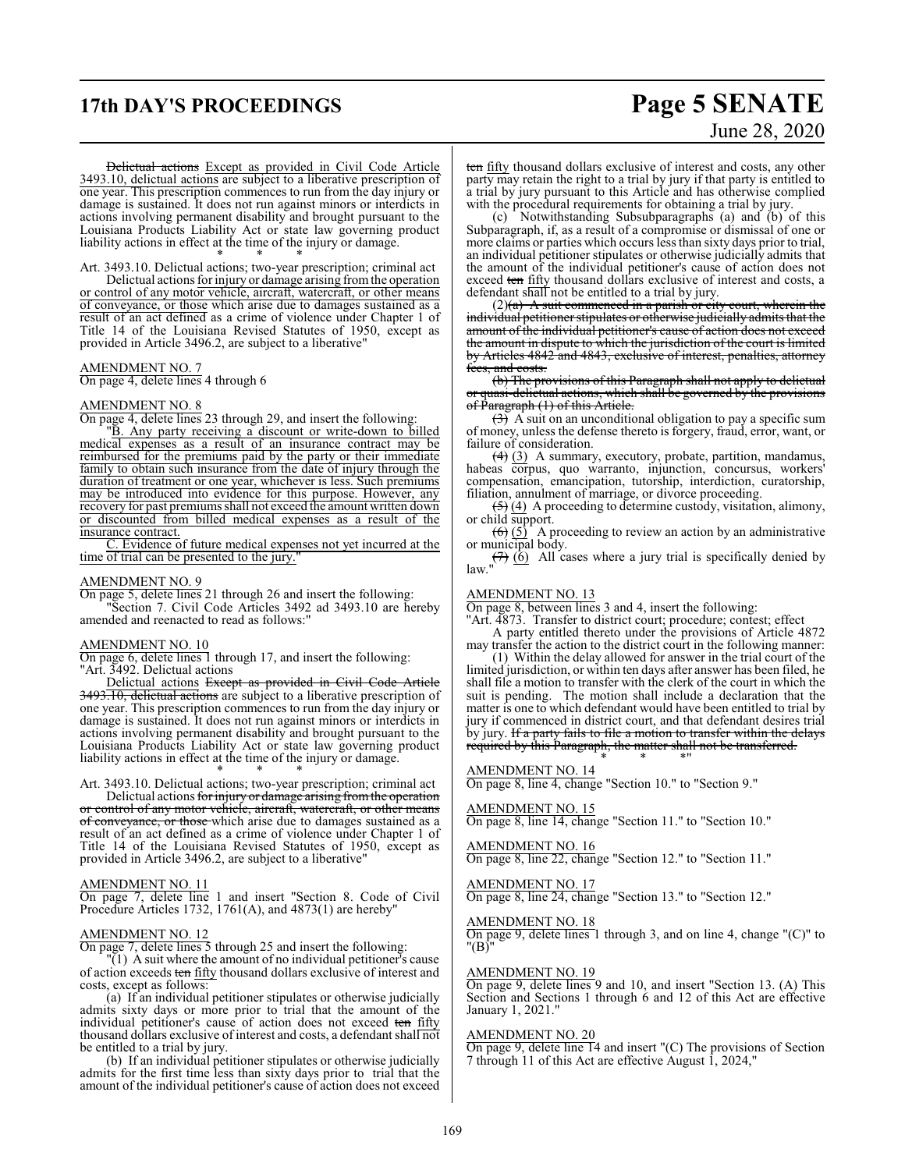### **17th DAY'S PROCEEDINGS Page 5 SENATE**

# June 28, 2020

Delictual actions Except as provided in Civil Code Article 3493.10, delictual actions are subject to a liberative prescription of one year. This prescription commences to run from the day injury or damage is sustained. It does not run against minors or interdicts in actions involving permanent disability and brought pursuant to the Louisiana Products Liability Act or state law governing product liability actions in effect at the time of the injury or damage. \* \* \*

Art. 3493.10. Delictual actions; two-year prescription; criminal act

Delictual actions for injury or damage arising fromthe operation or control of any motor vehicle, aircraft, watercraft, or other means of conveyance, or those which arise due to damages sustained as a result of an act defined as a crime of violence under Chapter 1 of Title 14 of the Louisiana Revised Statutes of 1950, except as provided in Article 3496.2, are subject to a liberative"

### AMENDMENT NO. 7

On page 4, delete lines 4 through 6

### AMENDMENT NO. 8

On page 4, delete lines 23 through 29, and insert the following:

"B. Any party receiving a discount or write-down to billed medical expenses as a result of an insurance contract may be reimbursed for the premiums paid by the party or their immediate family to obtain such insurance from the date of injury through the duration of treatment or one year, whichever is less. Such premiums may be introduced into evidence for this purpose. However, any recovery for past premiums shall not exceed the amount written down or discounted from billed medical expenses as a result of the insurance contract.

C. Evidence of future medical expenses not yet incurred at the time of trial can be presented to the jury."

### AMENDMENT NO. 9

On page 5, delete lines 21 through 26 and insert the following: "Section 7. Civil Code Articles 3492 ad 3493.10 are hereby amended and reenacted to read as follows:"

#### AMENDMENT NO. 10

On page 6, delete lines 1 through 17, and insert the following: "Art. 3492. Delictual actions

Delictual actions Except as provided in Civil Code Article 3493.10, delictual actions are subject to a liberative prescription of one year. This prescription commences to run from the day injury or damage is sustained. It does not run against minors or interdicts in actions involving permanent disability and brought pursuant to the Louisiana Products Liability Act or state law governing product liability actions in effect at the time of the injury or damage. \* \* \*

Art. 3493.10. Delictual actions; two-year prescription; criminal act

Delictual actions for injury or damage arising from the operation or control of any motor vehicle, aircraft, watercraft, or other means of conveyance, or those which arise due to damages sustained as a result of an act defined as a crime of violence under Chapter 1 of Title 14 of the Louisiana Revised Statutes of 1950, except as provided in Article 3496.2, are subject to a liberative"

### AMENDMENT NO. 11

On page 7, delete line 1 and insert "Section 8. Code of Civil Procedure Articles 1732, 1761(A), and 4873(1) are hereby"

### AMENDMENT NO. 12

On page 7, delete lines 5 through 25 and insert the following:

 $\overline{Y(1)}$  A suit where the amount of no individual petitioner's cause of action exceeds ten fifty thousand dollars exclusive of interest and costs, except as follows:

(a) If an individual petitioner stipulates or otherwise judicially admits sixty days or more prior to trial that the amount of the individual petitioner's cause of action does not exceed ten fifty thousand dollars exclusive of interest and costs, a defendant shall not be entitled to a trial by jury.

(b) If an individual petitioner stipulates or otherwise judicially admits for the first time less than sixty days prior to trial that the amount of the individual petitioner's cause of action does not exceed ten fifty thousand dollars exclusive of interest and costs, any other party may retain the right to a trial by jury if that party is entitled to a trial by jury pursuant to this Article and has otherwise complied with the procedural requirements for obtaining a trial by jury.

(c) Notwithstanding Subsubparagraphs (a) and (b) of this Subparagraph, if, as a result of a compromise or dismissal of one or more claims or parties which occurs less than sixty days prior to trial, an individual petitioner stipulates or otherwise judicially admits that the amount of the individual petitioner's cause of action does not exceed ten fifty thousand dollars exclusive of interest and costs, a defendant shall not be entitled to a trial by jury.

 $(2)(a)$  A suit commenced in a parish or city court, wherein the individual petitioner stipulates or otherwise judicially admits that the amount of the individual petitioner's cause of action does not exceed the amount in dispute to which the jurisdiction of the court is limited by Articles 4842 and 4843, exclusive of interest, penalties, attorney fees, and costs.

(b) The provisions of this Paragraph shall not apply to delictual or quasi-delictual actions, which shall be governed by the provisions of Paragraph (1) of this Article.

 $(3)$  A suit on an unconditional obligation to pay a specific sum of money, unless the defense thereto is forgery, fraud, error, want, or failure of consideration.

(4) (3) A summary, executory, probate, partition, mandamus, habeas corpus, quo warranto, injunction, concursus, workers' compensation, emancipation, tutorship, interdiction, curatorship, filiation, annulment of marriage, or divorce proceeding.

 $\left( \frac{1}{2} \right)$  (4) A proceeding to determine custody, visitation, alimony, or child support.

 $\overline{(6)}$   $\overline{(5)}$  A proceeding to review an action by an administrative or municipal body.

 $(7)$  (6) All cases where a jury trial is specifically denied by law."

#### AMENDMENT NO. 13

On page 8, between lines 3 and 4, insert the following:

"Art. 4873. Transfer to district court; procedure; contest; effect A party entitled thereto under the provisions of Article 4872

may transfer the action to the district court in the following manner:

(1) Within the delay allowed for answer in the trial court of the limited jurisdiction, or within ten days after answer has been filed, he shall file a motion to transfer with the clerk of the court in which the suit is pending. The motion shall include a declaration that the matter is one to which defendant would have been entitled to trial by jury if commenced in district court, and that defendant desires trial by jury. If a party fails to file a motion to transfer within the delays required by this Paragraph, the matter shall not be transferred.

\* \* \*"

### AMENDMENT NO. 14

On page 8, line 4, change "Section 10." to "Section 9."

### AMENDMENT NO. 15

On page 8, line 14, change "Section 11." to "Section 10."

### AMENDMENT NO. 16

On page 8, line 22, change "Section 12." to "Section 11."

AMENDMENT NO. 17 On page 8, line 24, change "Section 13." to "Section 12."

### AMENDMENT NO. 18

On page 9, delete lines 1 through 3, and on line 4, change "(C)" to "(B)"

#### AMENDMENT NO. 19

On page 9, delete lines 9 and 10, and insert "Section 13. (A) This Section and Sections 1 through 6 and 12 of this Act are effective January 1, 2021."

### AMENDMENT NO. 20

On page 9, delete line 14 and insert "(C) The provisions of Section 7 through 11 of this Act are effective August 1, 2024,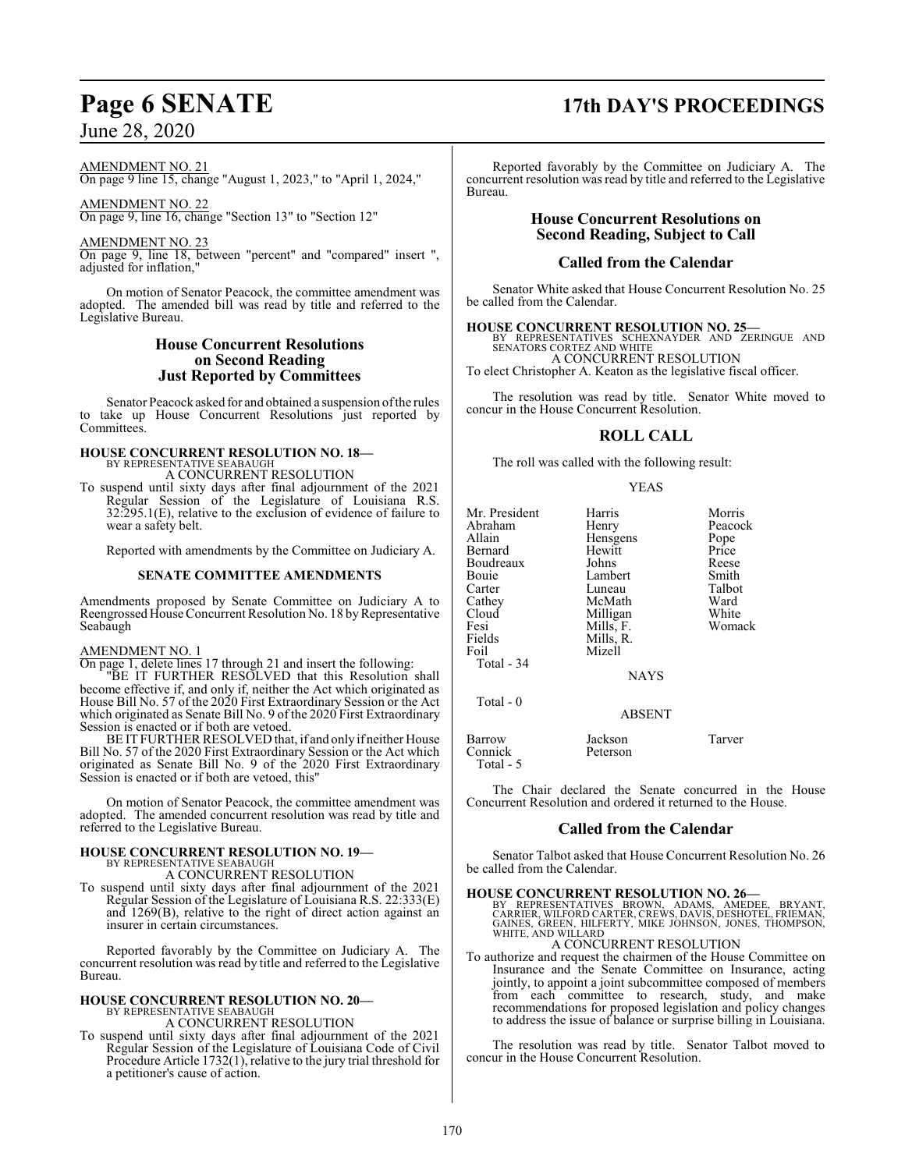AMENDMENT NO. 21

On page 9 line 15, change "August 1, 2023," to "April 1, 2024,"

AMENDMENT NO. 22

On page 9, line 16, change "Section 13" to "Section 12"

AMENDMENT NO. 23

On page 9, line 18, between "percent" and "compared" insert ", adjusted for inflation,"

On motion of Senator Peacock, the committee amendment was adopted. The amended bill was read by title and referred to the Legislative Bureau.

### **House Concurrent Resolutions on Second Reading Just Reported by Committees**

Senator Peacock asked for and obtained a suspension ofthe rules to take up House Concurrent Resolutions just reported by Committees.

## **HOUSE CONCURRENT RESOLUTION NO. 18—** BY REPRESENTATIVE SEABAUGH

A CONCURRENT RESOLUTION

To suspend until sixty days after final adjournment of the 2021 Regular Session of the Legislature of Louisiana R.S. 32:295.1(E), relative to the exclusion of evidence of failure to wear a safety belt.

Reported with amendments by the Committee on Judiciary A.

### **SENATE COMMITTEE AMENDMENTS**

Amendments proposed by Senate Committee on Judiciary A to Reengrossed House Concurrent Resolution No. 18 by Representative Seabaugh

### AMENDMENT NO. 1

On page 1, delete lines 17 through 21 and insert the following:

"BE IT FURTHER RESOLVED that this Resolution shall become effective if, and only if, neither the Act which originated as House Bill No. 57 of the 2020 First Extraordinary Session or the Act which originated as Senate Bill No. 9 of the 2020 First Extraordinary Session is enacted or if both are vetoed.

BE IT FURTHER RESOLVED that, if and only if neither House Bill No. 57 of the 2020 First Extraordinary Session or the Act which originated as Senate Bill No. 9 of the 2020 First Extraordinary Session is enacted or if both are vetoed, this"

On motion of Senator Peacock, the committee amendment was adopted. The amended concurrent resolution was read by title and referred to the Legislative Bureau.

# **HOUSE CONCURRENT RESOLUTION NO. 19—** BY REPRESENTATIVE SEABAUGH

A CONCURRENT RESOLUTION

To suspend until sixty days after final adjournment of the 2021 Regular Session of the Legislature of Louisiana R.S. 22:333(E) and 1269(B), relative to the right of direct action against an insurer in certain circumstances.

Reported favorably by the Committee on Judiciary A. The concurrent resolution was read by title and referred to the Legislative Bureau.

# **HOUSE CONCURRENT RESOLUTION NO. 20—** BY REPRESENTATIVE SEABAUGH

A CONCURRENT RESOLUTION

To suspend until sixty days after final adjournment of the 2021 Regular Session of the Legislature of Louisiana Code of Civil Procedure Article 1732(1), relative to the jury trial threshold for a petitioner's cause of action.

# **Page 6 SENATE 17th DAY'S PROCEEDINGS**

Reported favorably by the Committee on Judiciary A. The concurrent resolution was read by title and referred to the Legislative Bureau.

### **House Concurrent Resolutions on Second Reading, Subject to Call**

### **Called from the Calendar**

Senator White asked that House Concurrent Resolution No. 25 be called from the Calendar.

### **HOUSE CONCURRENT RESOLUTION NO. 25—**

BY REPRESENTATIVES SCHEXNAYDER AND ZERINGUE AND SENATORS CORTEZ AND WHITE A CONCURRENT RESOLUTION

To elect Christopher A. Keaton as the legislative fiscal officer.

The resolution was read by title. Senator White moved to concur in the House Concurrent Resolution.

### **ROLL CALL**

The roll was called with the following result:

YEAS

| Mr. President<br>Abraham<br>Allain<br>Bernard<br>Boudreaux<br>Bouie<br>Carter<br>Cathey<br>Cloud<br>Fesi<br>Fields<br>Foil<br>Total - 34 | Harris<br>Henry<br>Hensgens<br>Hewitt<br>Johns<br>Lambert<br>Luneau<br>McMath<br>Milligan<br>Mills, F.<br>Mills, R.<br>Mizell<br><b>NAYS</b> | Morris<br>Peacock<br>Pope<br>Price<br>Reese<br>Smith<br>Talbot<br>Ward<br>White<br>Womack |
|------------------------------------------------------------------------------------------------------------------------------------------|----------------------------------------------------------------------------------------------------------------------------------------------|-------------------------------------------------------------------------------------------|
| Total $-0$                                                                                                                               | <b>ABSENT</b>                                                                                                                                |                                                                                           |
| Barrow<br>Connick<br>Total - 5                                                                                                           | Jackson<br>Peterson                                                                                                                          | Tarver                                                                                    |

The Chair declared the Senate concurred in the House Concurrent Resolution and ordered it returned to the House.

### **Called from the Calendar**

Senator Talbot asked that House Concurrent Resolution No. 26 be called from the Calendar.

**HOUSE CONCURRENT RESOLUTION NO. 26—** BY REPRESENTATIVES BROWN, ADAMS, AMEDEE, BRYANT, CARRIER, WILFORD CARTER, CREWS, DAVIS, DESHOTEL, FRIEMAN, GAINES, GREEN, HILFERTY, MIKE JOHNSON, JONES, THOMPSON, WHITE, AND WILLARD

### A CONCURRENT RESOLUTION

To authorize and request the chairmen of the House Committee on Insurance and the Senate Committee on Insurance, acting jointly, to appoint a joint subcommittee composed of members from each committee to research, study, and make recommendations for proposed legislation and policy changes to address the issue of balance or surprise billing in Louisiana.

The resolution was read by title. Senator Talbot moved to concur in the House Concurrent Resolution.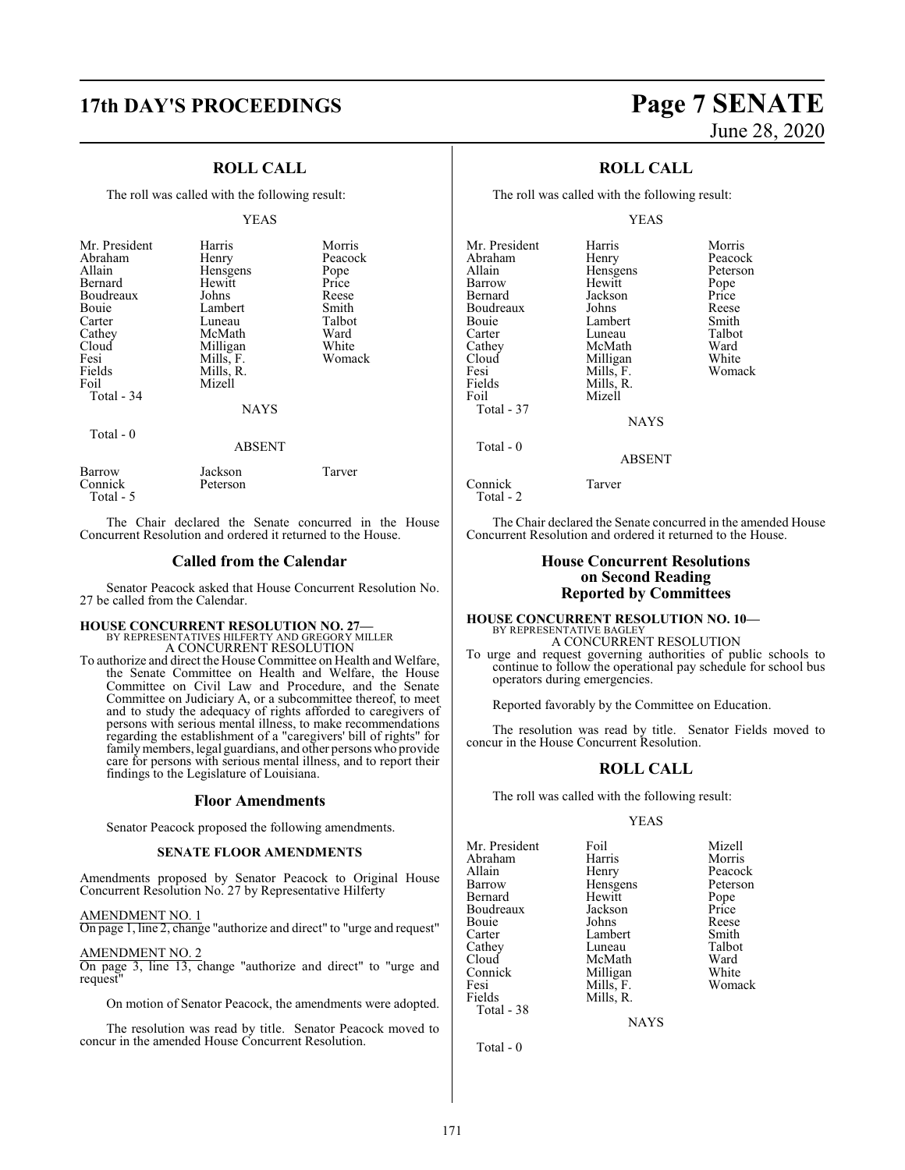### **17th DAY'S PROCEEDINGS Page 7 SENATE**

### **ROLL CALL**

The roll was called with the following result:

#### YEAS

| Mr. President<br>Abraham<br>Allain<br>Bernard<br>Boudreaux<br>Bouie<br>Carter<br>Cathey<br>Cloud<br>Fesi<br>Fields<br>Foil<br>Total - 34 | Harris<br>Henry<br>Hensgens<br>Hewitt<br>Johns<br>Lambert<br>Luneau<br>McMath<br>Milligan<br>Mills, F.<br>Mills, R.<br>Mizell<br><b>NAYS</b> | Morris<br>Peacock<br>Pope<br>Price<br>Reese<br>Smith<br>Talbot<br>Ward<br>White<br>Womack |
|------------------------------------------------------------------------------------------------------------------------------------------|----------------------------------------------------------------------------------------------------------------------------------------------|-------------------------------------------------------------------------------------------|
| Total $-0$                                                                                                                               | <b>ABSENT</b>                                                                                                                                |                                                                                           |
| Barrow                                                                                                                                   | Jackson                                                                                                                                      | Tarver                                                                                    |

The Chair declared the Senate concurred in the House Concurrent Resolution and ordered it returned to the House.

### **Called from the Calendar**

Senator Peacock asked that House Concurrent Resolution No. 27 be called from the Calendar.

### **HOUSE CONCURRENT RESOLUTION NO. 27—** BY REPRESENTATIVES HILFERTY AND GREGORY MILLER

Connick Peterson

Total - 5

A CONCURRENT RESOLUTION

To authorize and direct the House Committee on Health and Welfare, the Senate Committee on Health and Welfare, the House Committee on Civil Law and Procedure, and the Senate Committee on Judiciary A, or a subcommittee thereof, to meet and to study the adequacy of rights afforded to caregivers of persons with serious mental illness, to make recommendations regarding the establishment of a "caregivers' bill of rights" for family members, legal guardians, and other persons who provide care for persons with serious mental illness, and to report their findings to the Legislature of Louisiana.

### **Floor Amendments**

Senator Peacock proposed the following amendments.

### **SENATE FLOOR AMENDMENTS**

Amendments proposed by Senator Peacock to Original House Concurrent Resolution No. 27 by Representative Hilferty

AMENDMENT NO. 1

On page 1, line 2, change "authorize and direct" to "urge and request"

AMENDMENT NO. 2 On page 3, line 13, change "authorize and direct" to "urge and request"

On motion of Senator Peacock, the amendments were adopted.

The resolution was read by title. Senator Peacock moved to concur in the amended House Concurrent Resolution.

# June 28, 2020

### **ROLL CALL**

The roll was called with the following result:

### YEAS

| Mr. President<br>Abraham | Harris            | Morris<br>Peacock |
|--------------------------|-------------------|-------------------|
| Allain                   | Henry<br>Hensgens | Peterson          |
| Barrow                   | Hewitt            | Pope              |
| Bernard                  | Jackson           | Price             |
| Boudreaux                | Johns             | Reese             |
| Bouie                    | Lambert           | Smith             |
| Carter                   | Luneau            | Talbot            |
| Cathey                   | McMath            | Ward              |
| Cloud                    | Milligan          | White             |
| Fesi                     | Mills, F.         | Womack            |
| Fields                   | Mills, R.         |                   |
| Foil                     | Mizell            |                   |
| Total - 37               |                   |                   |
|                          | <b>NAYS</b>       |                   |
| Total $-0$               |                   |                   |
|                          | ABSENT            |                   |
|                          |                   |                   |

Connick Tarver Total - 2

The Chair declared the Senate concurred in the amended House Concurrent Resolution and ordered it returned to the House.

### **House Concurrent Resolutions on Second Reading Reported by Committees**

#### **HOUSE CONCURRENT RESOLUTION NO. 10—** BY REPRESENTATIVE BAGLEY A CONCURRENT RESOLUTION

To urge and request governing authorities of public schools to continue to follow the operational pay schedule for school bus operators during emergencies.

Reported favorably by the Committee on Education.

The resolution was read by title. Senator Fields moved to concur in the House Concurrent Resolution.

### **ROLL CALL**

The roll was called with the following result:

### YEAS

| Mr. President | Foil      | Mizell   |
|---------------|-----------|----------|
| Abraham       | Harris    | Morris   |
| Allain        | Henry     | Peacock  |
| Barrow        | Hensgens  | Peterson |
| Bernard       | Hewitt    | Pope     |
| Boudreaux     | Jackson   | Price    |
| Bouie         | Johns     | Reese    |
| Carter        | Lambert   | Smith    |
| Cathey        | Luneau    | Talbot   |
| Cloud         | McMath    | Ward     |
| Connick       | Milligan  | White    |
| Fesi          | Mills, F. | Womack   |
| Fields        | Mills, R. |          |
| Total - 38    |           |          |
|               | NAYS      |          |

Total - 0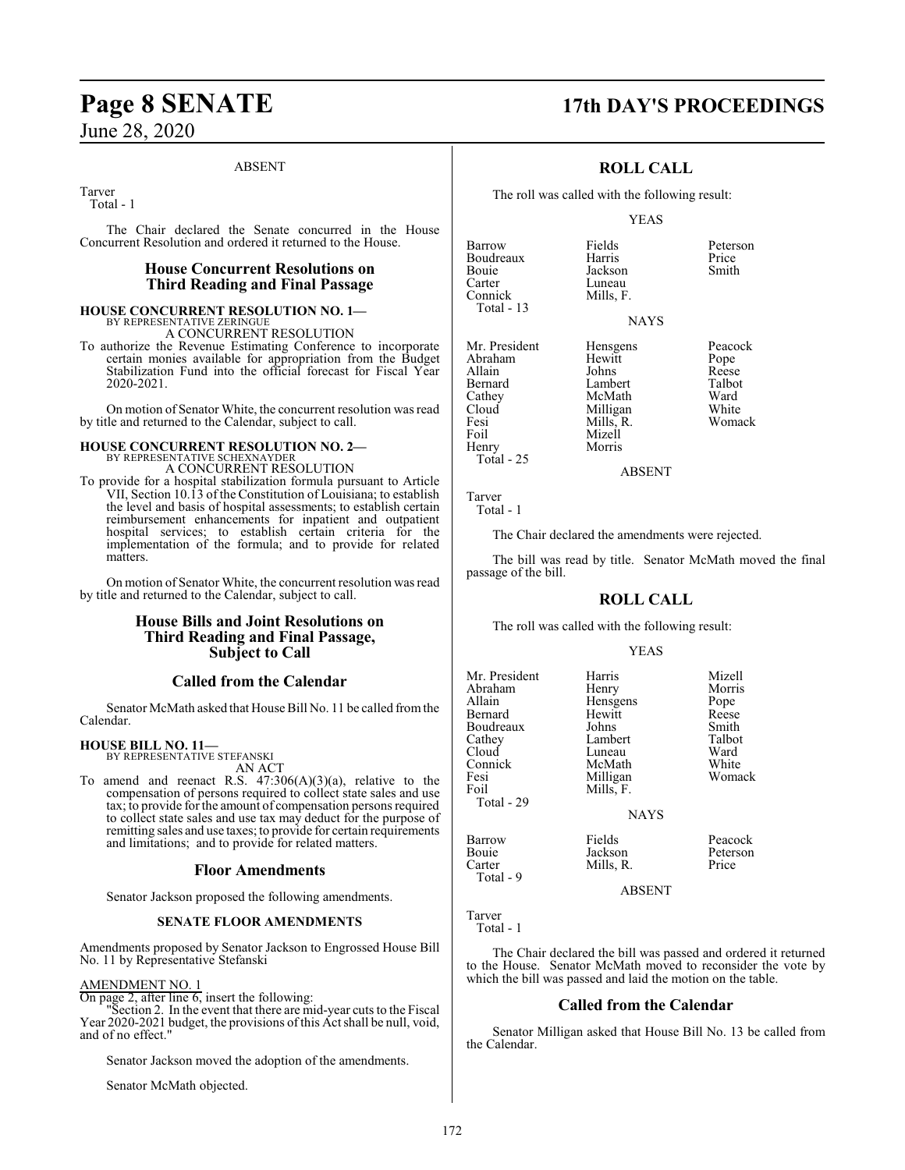### ABSENT

Tarver Total - 1

The Chair declared the Senate concurred in the House Concurrent Resolution and ordered it returned to the House.

### **House Concurrent Resolutions on Third Reading and Final Passage**

#### **HOUSE CONCURRENT RESOLUTION NO. 1—** BY REPRESENTATIVE ZERINGUE A CONCURRENT RESOLUTION

To authorize the Revenue Estimating Conference to incorporate certain monies available for appropriation from the Budget Stabilization Fund into the official forecast for Fiscal Year 2020-2021.

On motion of Senator White, the concurrent resolution was read by title and returned to the Calendar, subject to call.

# **HOUSE CONCURRENT RESOLUTION NO. 2—** BY REPRESENTATIVE SCHEXNAYDER

A CONCURRENT RESOLUTION

To provide for a hospital stabilization formula pursuant to Article VII, Section 10.13 of the Constitution of Louisiana; to establish the level and basis of hospital assessments; to establish certain reimbursement enhancements for inpatient and outpatient hospital services; to establish certain criteria for the implementation of the formula; and to provide for related matters.

On motion of Senator White, the concurrent resolution was read by title and returned to the Calendar, subject to call.

### **House Bills and Joint Resolutions on Third Reading and Final Passage, Subject to Call**

### **Called from the Calendar**

Senator McMath asked that House Bill No. 11 be called fromthe Calendar.

#### **HOUSE BILL NO. 11—** BY REPRESENTATIVE STEFANSKI

AN ACT

To amend and reenact R.S.  $47:306(A)(3)(a)$ , relative to the compensation of persons required to collect state sales and use tax; to provide forthe amount of compensation persons required to collect state sales and use tax may deduct for the purpose of remitting sales and use taxes; to provide for certain requirements and limitations; and to provide for related matters.

### **Floor Amendments**

Senator Jackson proposed the following amendments.

### **SENATE FLOOR AMENDMENTS**

Amendments proposed by Senator Jackson to Engrossed House Bill No. 11 by Representative Stefanski

### AMENDMENT NO. 1

On page 2, after line 6, insert the following:

"Section 2. In the event that there are mid-year cuts to the Fiscal Year 2020-2021 budget, the provisions of this Act shall be null, void, and of no effect."

Senator Jackson moved the adoption of the amendments.

Senator McMath objected.

### **Page 8 SENATE 17th DAY'S PROCEEDINGS**

### **ROLL CALL**

The roll was called with the following result:

Luneau<br>Mills, F.

Mizell<br>Morris

### YEAS

**NAYS** 

Barrow Fields Peterson Boudreaux Harris Price Bouie Jackson<br>Carter Luneau Connick Total - 13 Mr. President Hensgens Peacock<br>Abraham Hewitt Pope Abraham Hewitt Pope<br>Allain Johns Reese Allain Johns Reese Bernard Lambert Talbot Cathey McMath Ward<br>Cloud Milligan White Cloud Milligan White Fesi Mills, R. Womack<br>Foil Mizell

ABSENT

Tarver Total - 1

Henry Total - 25

The Chair declared the amendments were rejected.

The bill was read by title. Senator McMath moved the final passage of the bill.

### **ROLL CALL**

The roll was called with the following result:

### YEAS

| Mr. President<br>Abraham<br>Allain<br>Bernard<br>Boudreaux<br>Cathey<br>Cloud<br>Connick<br>Fesi<br>Foil<br>Total - 29 | Harris<br>Henry<br>Hensgens<br>Hewitt<br>Johns<br>Lambert<br>Luneau<br>McMath<br>Milligan<br>Mills, F.<br><b>NAYS</b> | Mizell<br>Morris<br>Pope<br>Reese<br>Smith<br>Talbot<br>Ward<br>White<br>Womack |
|------------------------------------------------------------------------------------------------------------------------|-----------------------------------------------------------------------------------------------------------------------|---------------------------------------------------------------------------------|
| Barrow<br>Bouie<br>Carter<br>Total - 9                                                                                 | Fields<br>Jackson<br>Mills, R.<br>ABSENT                                                                              | Peacock<br>Peterson<br>Price                                                    |

Tarver Total - 1

The Chair declared the bill was passed and ordered it returned to the House. Senator McMath moved to reconsider the vote by which the bill was passed and laid the motion on the table.

### **Called from the Calendar**

Senator Milligan asked that House Bill No. 13 be called from the Calendar.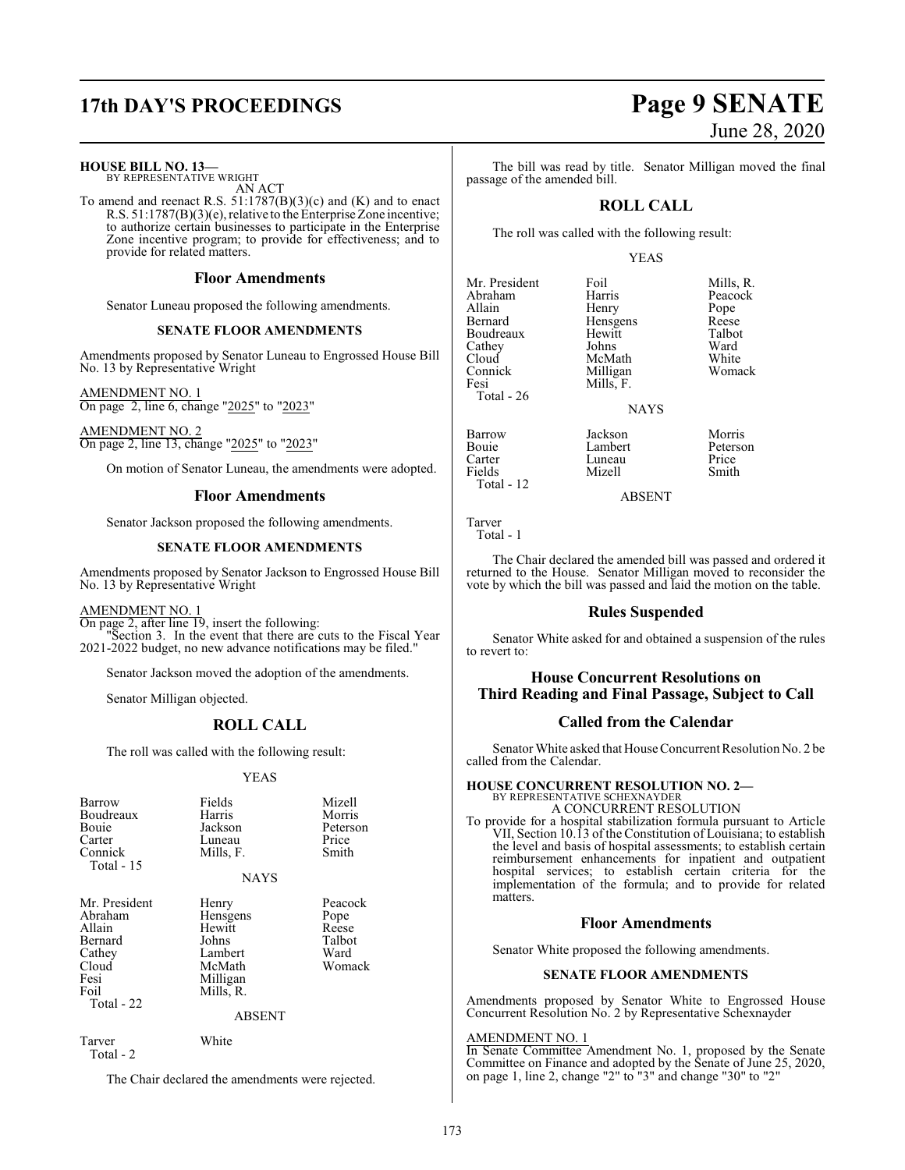## **17th DAY'S PROCEEDINGS Page 9 SENATE**

### **HOUSE BILL NO. 13—**

BY REPRESENTATIVE WRIGHT AN ACT

To amend and reenact R.S. 51:1787(B)(3)(c) and (K) and to enact R.S. 51:1787(B)(3)(e), relative to the Enterprise Zone incentive; to authorize certain businesses to participate in the Enterprise Zone incentive program; to provide for effectiveness; and to provide for related matters.

### **Floor Amendments**

Senator Luneau proposed the following amendments.

### **SENATE FLOOR AMENDMENTS**

Amendments proposed by Senator Luneau to Engrossed House Bill No. 13 by Representative Wright

AMENDMENT NO. 1 On page 2, line 6, change "2025" to "2023"

AMENDMENT NO. 2 On page 2, line 13, change "2025" to "2023"

On motion of Senator Luneau, the amendments were adopted.

### **Floor Amendments**

Senator Jackson proposed the following amendments.

### **SENATE FLOOR AMENDMENTS**

Amendments proposed by Senator Jackson to Engrossed House Bill No. 13 by Representative Wright

### AMENDMENT NO. 1

On page 2, after line 19, insert the following: "Section 3. In the event that there are cuts to the Fiscal Year 2021-2022 budget, no new advance notifications may be filed."

Senator Jackson moved the adoption of the amendments.

Senator Milligan objected.

### **ROLL CALL**

The roll was called with the following result:

### YEAS

| <b>Barrow</b><br>Boudreaux<br>Bouie<br>Carter<br>Connick<br>Total - 15                         | Fields<br>Harris<br>Jackson<br>Luneau<br>Mills, F.                                 | Mizell<br>Morris<br>Peterson<br>Price<br>Smith       |
|------------------------------------------------------------------------------------------------|------------------------------------------------------------------------------------|------------------------------------------------------|
|                                                                                                | <b>NAYS</b>                                                                        |                                                      |
| Mr. President<br>Abraham<br>Allain<br>Bernard<br>Cathey<br>Cloud<br>Fesi<br>Foil<br>Total - 22 | Henry<br>Hensgens<br>Hewitt<br>Johns<br>Lambert<br>McMath<br>Milligan<br>Mills, R. | Peacock<br>Pope<br>Reese<br>Talbot<br>Ward<br>Womack |
|                                                                                                | ABSENT                                                                             |                                                      |
| Tarver                                                                                         | White                                                                              |                                                      |

Total - 2

The Chair declared the amendments were rejected.

The bill was read by title. Senator Milligan moved the final passage of the amended bill.

### **ROLL CALL**

The roll was called with the following result:

Milligan

Mizell

### YEAS

Hensgens Reese<br>Hewitt Talbot

Mr. President Foil Foil Mills, R.<br>Abraham Harris Peacock Abraham Harris Peacock<br>Allain Henry Pope Allain Henry Pope Boudreaux Hewitt Talbo<br>Cathey Johns Ward Cathey Johns Ward<br>Cloud McMath White Cloud McMath White<br>Connick Milligan Womack Fesi Mills, F. Total - 26

Barrow Jackson Morris Bouie Lambert Peterson Carter Luneau Price<br>
Fields Mizell Smith Total - 12

ABSENT

NAYS

Tarver Total - 1

The Chair declared the amended bill was passed and ordered it returned to the House. Senator Milligan moved to reconsider the vote by which the bill was passed and laid the motion on the table.

### **Rules Suspended**

Senator White asked for and obtained a suspension of the rules to revert to:

### **House Concurrent Resolutions on Third Reading and Final Passage, Subject to Call**

### **Called from the Calendar**

Senator White asked that House Concurrent Resolution No. 2 be called from the Calendar.

### **HOUSE CONCURRENT RESOLUTION NO. 2—** BY REPRESENTATIVE SCHEXNAYDER A CONCURRENT RESOLUTION

To provide for a hospital stabilization formula pursuant to Article VII, Section 10.13 of the Constitution of Louisiana; to establish the level and basis of hospital assessments; to establish certain reimbursement enhancements for inpatient and outpatient hospital services; to establish certain criteria for the implementation of the formula; and to provide for related matters.

### **Floor Amendments**

Senator White proposed the following amendments.

### **SENATE FLOOR AMENDMENTS**

Amendments proposed by Senator White to Engrossed House Concurrent Resolution No. 2 by Representative Schexnayder

### AMENDMENT NO. 1

In Senate Committee Amendment No. 1, proposed by the Senate Committee on Finance and adopted by the Senate of June 25, 2020, on page 1, line 2, change "2" to "3" and change "30" to "2"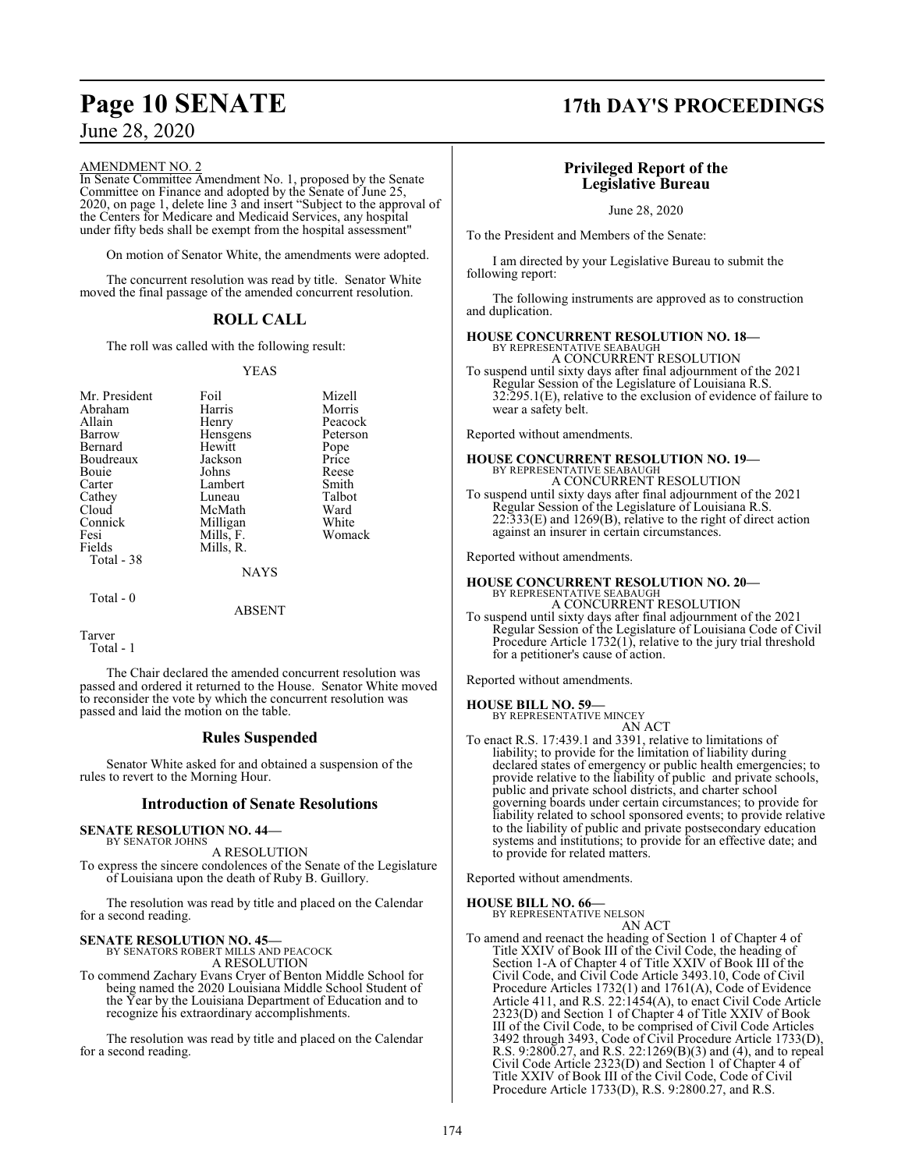### AMENDMENT NO. 2

In Senate Committee Amendment No. 1, proposed by the Senate Committee on Finance and adopted by the Senate of June 25, 2020, on page 1, delete line 3 and insert "Subject to the approval of the Centers for Medicare and Medicaid Services, any hospital under fifty beds shall be exempt from the hospital assessment"

On motion of Senator White, the amendments were adopted.

The concurrent resolution was read by title. Senator White moved the final passage of the amended concurrent resolution.

### **ROLL CALL**

The roll was called with the following result:

### YEAS

| Mr. President | Foil        | Mizell   |
|---------------|-------------|----------|
| Abraham       | Harris      | Morris   |
| Allain        | Henry       | Peacock  |
| Barrow        | Hensgens    | Peterson |
| Bernard       | Hewitt      | Pope     |
| Boudreaux     | Jackson     | Price    |
| Bouie         | Johns       | Reese    |
| Carter        | Lambert     | Smith    |
| Cathey        | Luneau      | Talbot   |
| Cloud         | McMath      | Ward     |
| Connick       | Milligan    | White    |
| Fesi          | Mills, F.   | Womack   |
| Fields        | Mills, R.   |          |
| Total - 38    |             |          |
|               | <b>NAYS</b> |          |

#### ABSENT

```
Tarver
   Total - 1
```
Total - 0

The Chair declared the amended concurrent resolution was passed and ordered it returned to the House. Senator White moved to reconsider the vote by which the concurrent resolution was passed and laid the motion on the table.

### **Rules Suspended**

Senator White asked for and obtained a suspension of the rules to revert to the Morning Hour.

### **Introduction of Senate Resolutions**

### **SENATE RESOLUTION NO. 44—**

BY SENATOR JOHNS A RESOLUTION

To express the sincere condolences of the Senate of the Legislature of Louisiana upon the death of Ruby B. Guillory.

The resolution was read by title and placed on the Calendar for a second reading.

# **SENATE RESOLUTION NO. 45—** BY SENATORS ROBERT MILLS AND PEACOCK

A RESOLUTION

To commend Zachary Evans Cryer of Benton Middle School for being named the 2020 Louisiana Middle School Student of the Year by the Louisiana Department of Education and to recognize his extraordinary accomplishments.

The resolution was read by title and placed on the Calendar for a second reading.

### **Page 10 SENATE 17th DAY'S PROCEEDINGS**

### **Privileged Report of the Legislative Bureau**

June 28, 2020

To the President and Members of the Senate:

I am directed by your Legislative Bureau to submit the following report:

The following instruments are approved as to construction and duplication.

## **HOUSE CONCURRENT RESOLUTION NO. 18—** BY REPRESENTATIVE SEABAUGH

A CONCURRENT RESOLUTION To suspend until sixty days after final adjournment of the 2021 Regular Session of the Legislature of Louisiana R.S. 32:295.1(E), relative to the exclusion of evidence of failure to wear a safety belt.

Reported without amendments.

**HOUSE CONCURRENT RESOLUTION NO. 19—**<br>BY REPRESENTATIVE SEABAUGH<br>A CONCURRENT RESOLUTION To suspend until sixty days after final adjournment of the 2021

Regular Session of the Legislature of Louisiana R.S. 22:333(E) and 1269(B), relative to the right of direct action against an insurer in certain circumstances.

Reported without amendments.

# **HOUSE CONCURRENT RESOLUTION NO. 20—**<br>BY REPRESENTATIVE SEABAUGH<br>A CONCURRENT RESOLUTION

To suspend until sixty days after final adjournment of the 2021 Regular Session of the Legislature of Louisiana Code of Civil Procedure Article 1732(1), relative to the jury trial threshold for a petitioner's cause of action.

Reported without amendments.

**HOUSE BILL NO. 59—**

BY REPRESENTATIVE MINCEY AN ACT

To enact R.S. 17:439.1 and 3391, relative to limitations of liability; to provide for the limitation of liability during declared states of emergency or public health emergencies; to provide relative to the liability of public and private schools, public and private school districts, and charter school governing boards under certain circumstances; to provide for liability related to school sponsored events; to provide relative to the liability of public and private postsecondary education systems and institutions; to provide for an effective date; and to provide for related matters.

Reported without amendments.

**HOUSE BILL NO. 66—**

BY REPRESENTATIVE NELSON AN ACT

To amend and reenact the heading of Section 1 of Chapter 4 of Title XXIV of Book III of the Civil Code, the heading of Section 1-A of Chapter 4 of Title XXIV of Book III of the Civil Code, and Civil Code Article 3493.10, Code of Civil Procedure Articles 1732(1) and 1761(A), Code of Evidence Article 411, and R.S. 22:1454(A), to enact Civil Code Article 2323(D) and Section 1 of Chapter 4 of Title XXIV of Book III of the Civil Code, to be comprised of Civil Code Articles 3492 through 3493, Code of Civil Procedure Article 1733(D), R.S. 9:2800.27, and R.S. 22:1269(B)(3) and (4), and to repeal Civil Code Article 2323(D) and Section 1 of Chapter 4 of Title XXIV of Book III of the Civil Code, Code of Civil Procedure Article 1733(D), R.S. 9:2800.27, and R.S.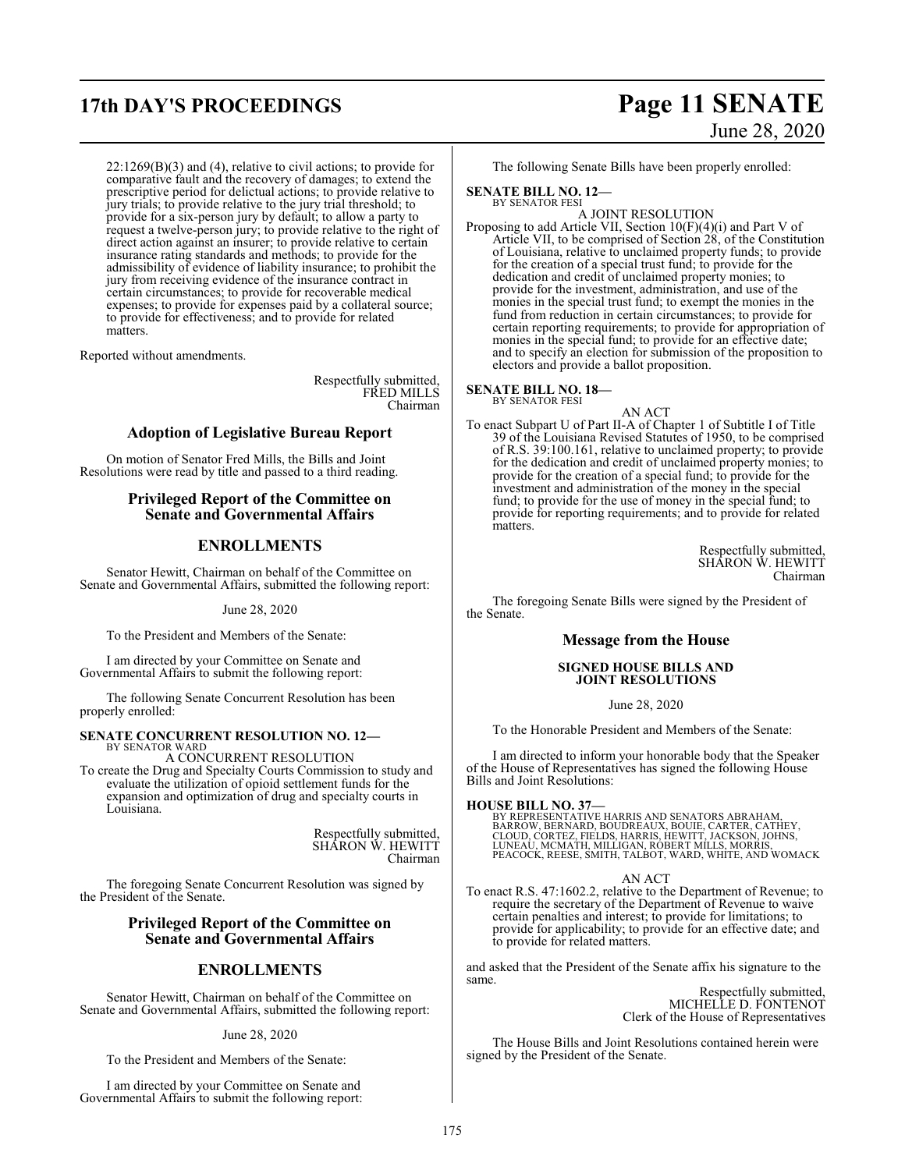22:1269(B)(3) and (4), relative to civil actions; to provide for comparative fault and the recovery of damages; to extend the prescriptive period for delictual actions; to provide relative to jury trials; to provide relative to the jury trial threshold; to provide for a six-person jury by default; to allow a party to request a twelve-person jury; to provide relative to the right of direct action against an insurer; to provide relative to certain insurance rating standards and methods; to provide for the admissibility of evidence of liability insurance; to prohibit the jury from receiving evidence of the insurance contract in certain circumstances; to provide for recoverable medical expenses; to provide for expenses paid by a collateral source; to provide for effectiveness; and to provide for related matters.

Reported without amendments.

Respectfully submitted, FRED MILLS Chairman

### **Adoption of Legislative Bureau Report**

On motion of Senator Fred Mills, the Bills and Joint Resolutions were read by title and passed to a third reading.

### **Privileged Report of the Committee on Senate and Governmental Affairs**

### **ENROLLMENTS**

Senator Hewitt, Chairman on behalf of the Committee on Senate and Governmental Affairs, submitted the following report:

June 28, 2020

To the President and Members of the Senate:

I am directed by your Committee on Senate and Governmental Affairs to submit the following report:

The following Senate Concurrent Resolution has been properly enrolled:

#### **SENATE CONCURRENT RESOLUTION NO. 12—** BY SENATOR WARD

A CONCURRENT RESOLUTION

To create the Drug and Specialty Courts Commission to study and evaluate the utilization of opioid settlement funds for the expansion and optimization of drug and specialty courts in Louisiana.

> Respectfully submitted, SHARON W. HEWITT Chairman

The foregoing Senate Concurrent Resolution was signed by the President of the Senate.

### **Privileged Report of the Committee on Senate and Governmental Affairs**

### **ENROLLMENTS**

Senator Hewitt, Chairman on behalf of the Committee on Senate and Governmental Affairs, submitted the following report:

June 28, 2020

To the President and Members of the Senate:

I am directed by your Committee on Senate and Governmental Affairs to submit the following report:

### **17th DAY'S PROCEEDINGS Page 11 SENATE** June 28, 2020

The following Senate Bills have been properly enrolled:

### **SENATE BILL NO. 12—**

BY SENATOR FESI A JOINT RESOLUTION

Proposing to add Article VII, Section 10(F)(4)(i) and Part V of Article VII, to be comprised of Section 28, of the Constitution of Louisiana, relative to unclaimed property funds; to provide for the creation of a special trust fund; to provide for the dedication and credit of unclaimed property monies; to provide for the investment, administration, and use of the monies in the special trust fund; to exempt the monies in the fund from reduction in certain circumstances; to provide for certain reporting requirements; to provide for appropriation of monies in the special fund; to provide for an effective date; and to specify an election for submission of the proposition to electors and provide a ballot proposition.

#### **SENATE BILL NO. 18—** BY SENATOR FESI

AN ACT

To enact Subpart U of Part II-A of Chapter 1 of Subtitle I of Title 39 of the Louisiana Revised Statutes of 1950, to be comprised of R.S. 39:100.161, relative to unclaimed property; to provide for the dedication and credit of unclaimed property monies; to provide for the creation of a special fund; to provide for the investment and administration of the money in the special fund; to provide for the use of money in the special fund; to provide for reporting requirements; and to provide for related matters.

> Respectfully submitted, SHARON W. HEWITT Chairman

The foregoing Senate Bills were signed by the President of the Senate.

### **Message from the House**

### **SIGNED HOUSE BILLS AND JOINT RESOLUTIONS**

June 28, 2020

To the Honorable President and Members of the Senate:

I am directed to inform your honorable body that the Speaker of the House of Representatives has signed the following House Bills and Joint Resolutions:

### **HOUSE BILL NO. 37—**

BY REPRESENTATIVE HARRIS AND SENATORS ABRAHAM, BARROW, BERNARD, BOUDREAUX, BOUIE, CARTER, CATHEY,<br>CLOUD, CORTEZ, FIELDS, HARRIS, HEWITT, JACKSON, JOHNS,<br>LUNEAU, MCMATH, MILLIGAN, ROBERT MILLS, MORRIS,<br>PEACOCK, REESE, SMITH, TALBOT, WARD, WHITE, AND WOMACK

### AN ACT

To enact R.S. 47:1602.2, relative to the Department of Revenue; to require the secretary of the Department of Revenue to waive certain penalties and interest; to provide for limitations; to provide for applicability; to provide for an effective date; and to provide for related matters.

and asked that the President of the Senate affix his signature to the same.

Respectfully submitted, MICHELLE D. FONTENOT Clerk of the House of Representatives

The House Bills and Joint Resolutions contained herein were signed by the President of the Senate.